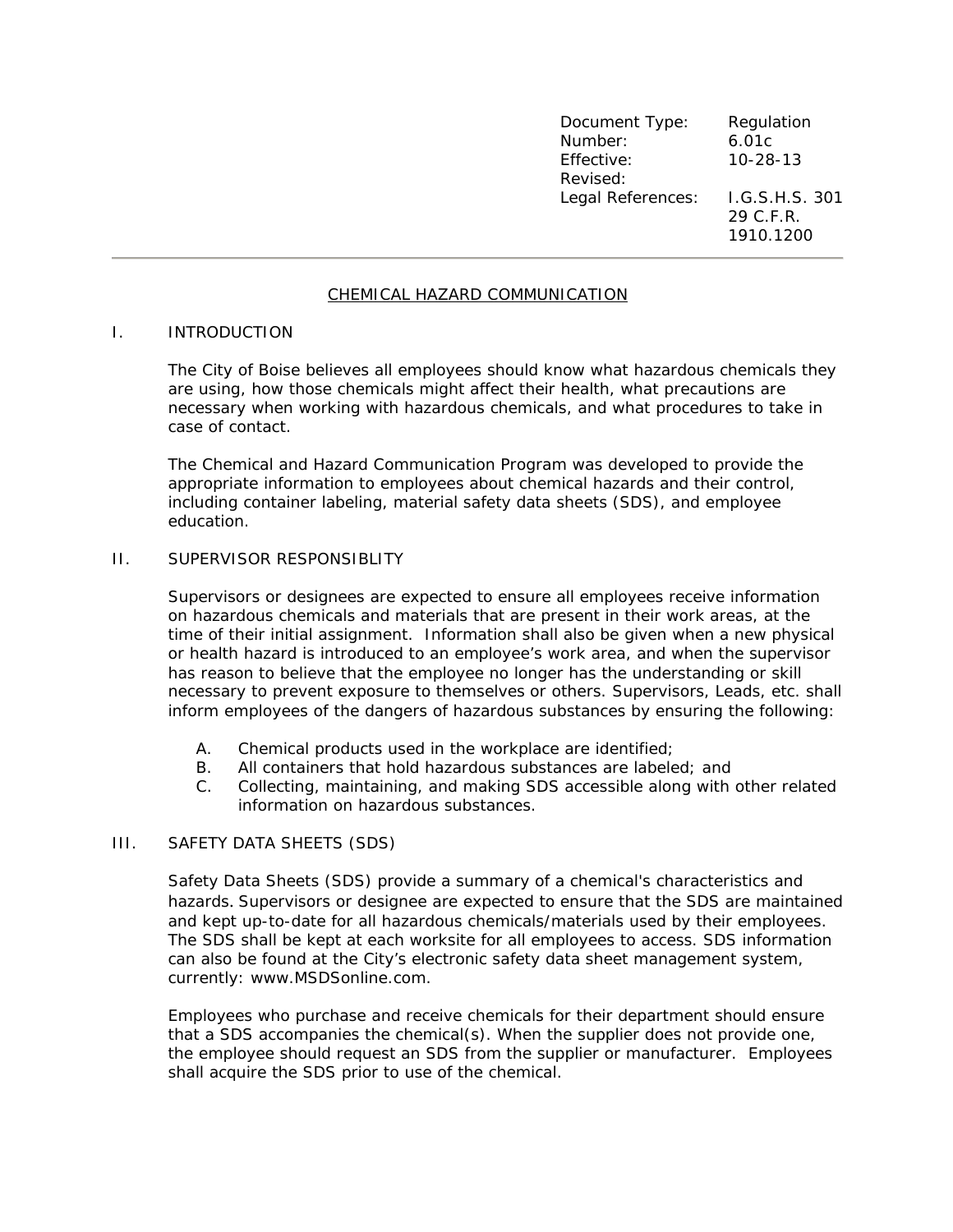| Document Type:    | Regulation     |
|-------------------|----------------|
| Number:           | 6.01c          |
| Effective:        | $10 - 28 - 13$ |
| Revised:          |                |
| Legal References: | I.G.S.H.S. 301 |
|                   | 29 C.F.R.      |
|                   | 1910.1200      |

## CHEMICAL HAZARD COMMUNICATION

#### I. INTRODUCTION

The City of Boise believes all employees should know what hazardous chemicals they are using, how those chemicals might affect their health, what precautions are necessary when working with hazardous chemicals, and what procedures to take in case of contact.

The Chemical and Hazard Communication Program was developed to provide the appropriate information to employees about chemical hazards and their control, including container labeling, material safety data sheets (SDS), and employee education.

#### II. SUPERVISOR RESPONSIBLITY

Supervisors or designees are expected to ensure all employees receive information on hazardous chemicals and materials that are present in their work areas, at the time of their initial assignment. Information shall also be given when a new physical or health hazard is introduced to an employee's work area, and when the supervisor has reason to believe that the employee no longer has the understanding or skill necessary to prevent exposure to themselves or others. Supervisors, Leads, etc. shall inform employees of the dangers of hazardous substances by ensuring the following:

- A. Chemical products used in the workplace are identified;
- B. All containers that hold hazardous substances are labeled; and
- C. Collecting, maintaining, and making SDS accessible along with other related information on hazardous substances.

# III. SAFETY DATA SHEETS (SDS)

Safety Data Sheets (SDS) provide a summary of a chemical's characteristics and hazards. Supervisors or designee are expected to ensure that the SDS are maintained and kept up-to-date for all hazardous chemicals/materials used by their employees. The SDS shall be kept at each worksite for all employees to access. SDS information can also be found at the City's electronic safety data sheet management system, currently: www.MSDSonline.com.

Employees who purchase and receive chemicals for their department should ensure that a SDS accompanies the chemical(s). When the supplier does not provide one, the employee should request an SDS from the supplier or manufacturer. Employees shall acquire the SDS prior to use of the chemical.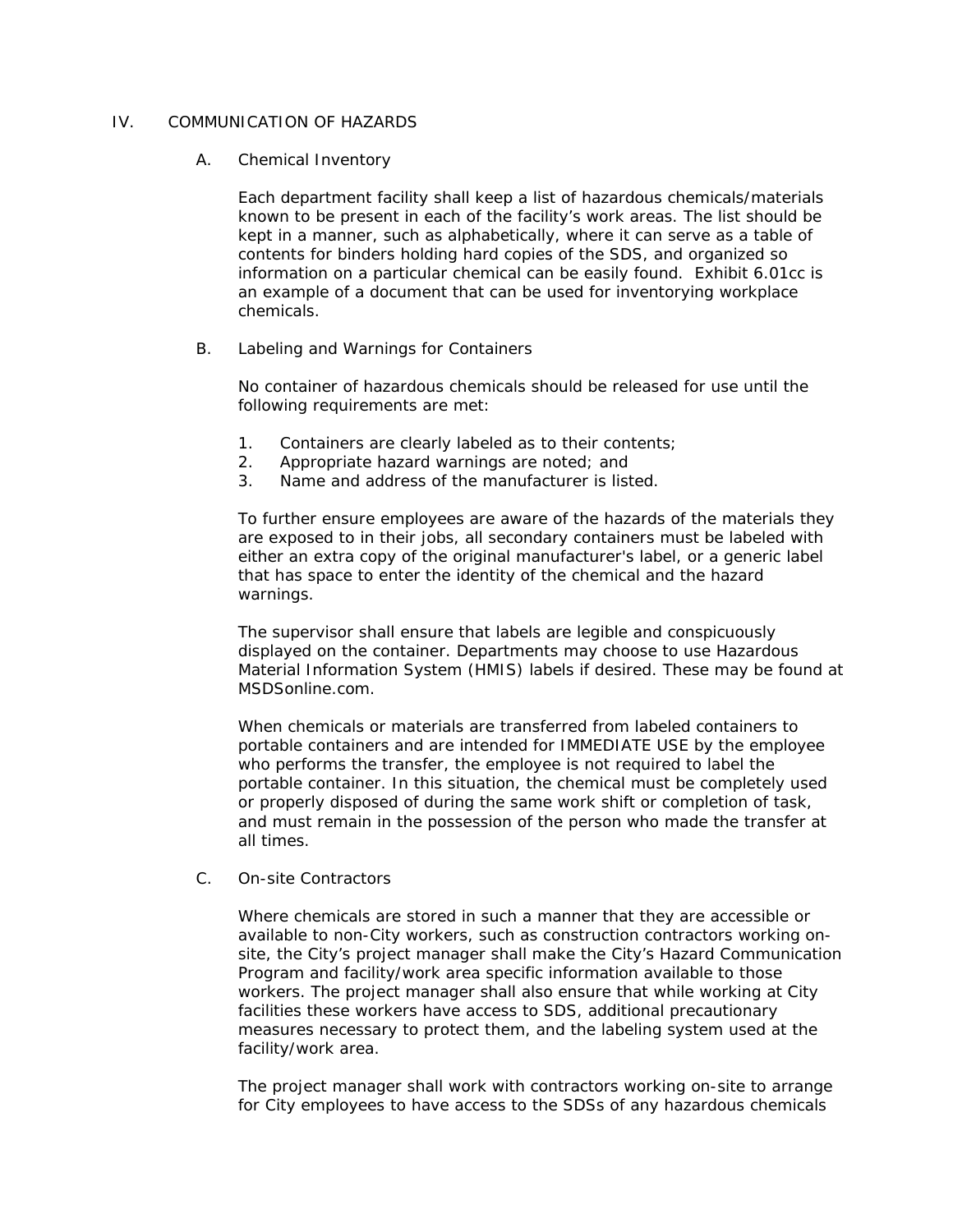## IV. COMMUNICATION OF HAZARDS

## A. Chemical Inventory

Each department facility shall keep a list of hazardous chemicals/materials known to be present in each of the facility's work areas. The list should be kept in a manner, such as alphabetically, where it can serve as a table of contents for binders holding hard copies of the SDS, and organized so information on a particular chemical can be easily found. Exhibit 6.01cc is an example of a document that can be used for inventorying workplace chemicals.

### B. Labeling and Warnings for Containers

No container of hazardous chemicals should be released for use until the following requirements are met:

- 1. Containers are clearly labeled as to their contents;
- 2. Appropriate hazard warnings are noted; and
- 3. Name and address of the manufacturer is listed.

To further ensure employees are aware of the hazards of the materials they are exposed to in their jobs, all secondary containers must be labeled with either an extra copy of the original manufacturer's label, or a generic label that has space to enter the identity of the chemical and the hazard warnings.

The supervisor shall ensure that labels are legible and conspicuously displayed on the container. Departments may choose to use Hazardous Material Information System (HMIS) labels if desired. These may be found at MSDSonline.com.

When chemicals or materials are transferred from labeled containers to portable containers and are intended for IMMEDIATE USE by the employee who performs the transfer, the employee is not required to label the portable container. In this situation, the chemical must be completely used or properly disposed of during the same work shift or completion of task, and must remain in the possession of the person who made the transfer at all times.

C. On-site Contractors

Where chemicals are stored in such a manner that they are accessible or available to non-City workers, such as construction contractors working onsite, the City's project manager shall make the City's Hazard Communication Program and facility/work area specific information available to those workers. The project manager shall also ensure that while working at City facilities these workers have access to SDS, additional precautionary measures necessary to protect them, and the labeling system used at the facility/work area.

The project manager shall work with contractors working on-site to arrange for City employees to have access to the SDSs of any hazardous chemicals